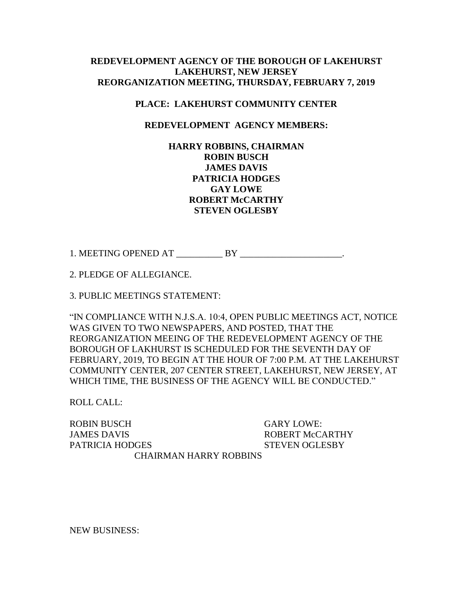## **REDEVELOPMENT AGENCY OF THE BOROUGH OF LAKEHURST LAKEHURST, NEW JERSEY REORGANIZATION MEETING, THURSDAY, FEBRUARY 7, 2019**

## **PLACE: LAKEHURST COMMUNITY CENTER**

## **REDEVELOPMENT AGENCY MEMBERS:**

## **HARRY ROBBINS, CHAIRMAN ROBIN BUSCH JAMES DAVIS PATRICIA HODGES GAY LOWE ROBERT McCARTHY STEVEN OGLESBY**

1. MEETING OPENED AT  $BY$  .

2. PLEDGE OF ALLEGIANCE.

3. PUBLIC MEETINGS STATEMENT:

"IN COMPLIANCE WITH N.J.S.A. 10:4, OPEN PUBLIC MEETINGS ACT, NOTICE WAS GIVEN TO TWO NEWSPAPERS, AND POSTED, THAT THE REORGANIZATION MEEING OF THE REDEVELOPMENT AGENCY OF THE BOROUGH OF LAKHURST IS SCHEDULED FOR THE SEVENTH DAY OF FEBRUARY, 2019, TO BEGIN AT THE HOUR OF 7:00 P.M. AT THE LAKEHURST COMMUNITY CENTER, 207 CENTER STREET, LAKEHURST, NEW JERSEY, AT WHICH TIME, THE BUSINESS OF THE AGENCY WILL BE CONDUCTED."

ROLL CALL:

ROBIN BUSCH GARY LOWE: JAMES DAVIS THE ROBERT McCARTHY PATRICIA HODGES STEVEN OGLESBY CHAIRMAN HARRY ROBBINS

NEW BUSINESS: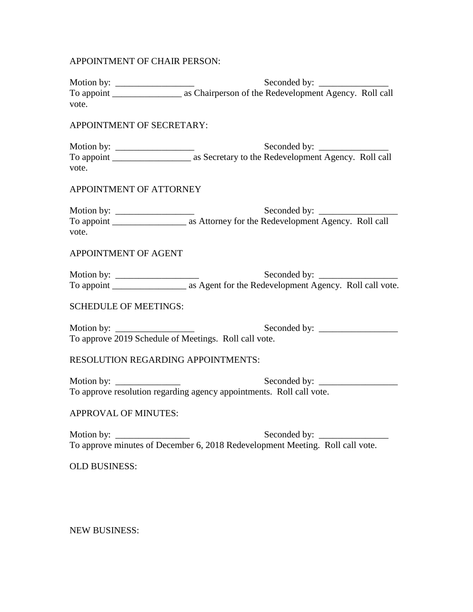APPOINTMENT OF CHAIR PERSON:

| vote.                                                                       |                                                                               |
|-----------------------------------------------------------------------------|-------------------------------------------------------------------------------|
| APPOINTMENT OF SECRETARY:                                                   |                                                                               |
| vote.                                                                       |                                                                               |
| APPOINTMENT OF ATTORNEY                                                     |                                                                               |
| vote.                                                                       |                                                                               |
| APPOINTMENT OF AGENT                                                        |                                                                               |
|                                                                             |                                                                               |
| <b>SCHEDULE OF MEETINGS:</b>                                                |                                                                               |
| Motion by: $\frac{1}{\sqrt{1-\frac{1}{2}}}\left  \frac{f(x)}{g(x)} \right $ | To approve 2019 Schedule of Meetings. Roll call vote.                         |
| <b>RESOLUTION REGARDING APPOINTMENTS:</b>                                   |                                                                               |
| Motion by: $\frac{1}{\sqrt{1-\frac{1}{2}} \cdot \frac{1}{2}}$               | To approve resolution regarding agency appointments. Roll call vote.          |
| APPROVAL OF MINUTES:                                                        |                                                                               |
|                                                                             | To approve minutes of December 6, 2018 Redevelopment Meeting. Roll call vote. |
| <b>OLD BUSINESS:</b>                                                        |                                                                               |
|                                                                             |                                                                               |
|                                                                             |                                                                               |

NEW BUSINESS: